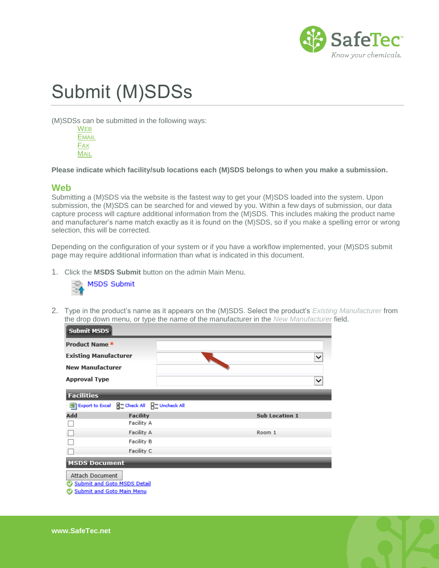

# Submit (M)SDSs

(M)SDSs can be submitted in the following ways:

[W](#page-0-0)EB **E[MAIL](#page-1-0)** F[AX](#page-2-0) **M[AIL](#page-2-1)** 

**Please indicate which facility/sub locations each (M)SDS belongs to when you make a submission.**

#### <span id="page-0-0"></span>**Web**

Submitting a (M)SDS via the website is the fastest way to get your (M)SDS loaded into the system. Upon submission, the (M)SDS can be searched for and viewed by you. Within a few days of submission, our data capture process will capture additional information from the (M)SDS. This includes making the product name and manufacturer's name match exactly as it is found on the (M)SDS, so if you make a spelling error or wrong selection, this will be corrected.

Depending on the configuration of your system or if you have a workflow implemented, your (M)SDS submit page may require additional information than what is indicated in this document.

1. Click the **MSDS Submit** button on the admin Main Menu.



2. Type in the product's name as it appears on the (M)SDS. Select the product's *Existing Manufacturer* from the drop down menu, or type the name of the manufacturer in the *New Manufacturer* field.



- Submit and Goto Main Menu
- 

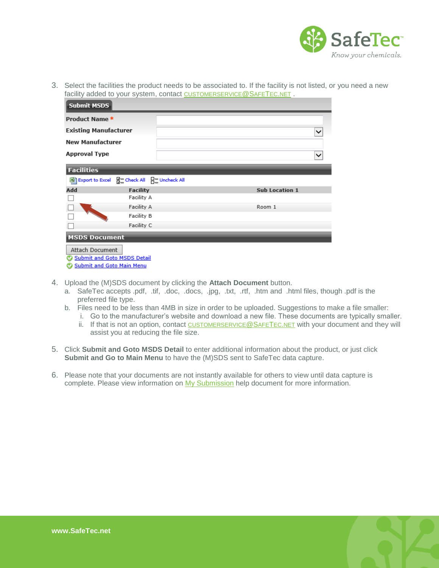

3. Select the facilities the product needs to be associated to. If the facility is not listed, or you need a new facility added to your system, contact [CUSTOMERSERVICE](mailto:customerservice@safetec.net)@SAFETEC.NET.

| <b>Submit MSDS</b>                 |                            |                       |              |
|------------------------------------|----------------------------|-----------------------|--------------|
| Product Name *                     |                            |                       |              |
| <b>Existing Manufacturer</b>       |                            |                       | $\checkmark$ |
| <b>New Manufacturer</b>            |                            |                       |              |
| <b>Approval Type</b>               |                            |                       | $\checkmark$ |
| <b>Facilities</b>                  |                            |                       |              |
| Export to Excel                    | 음 Check All 님을 Uncheck All |                       |              |
| Add                                | <b>Facility</b>            | <b>Sub Location 1</b> |              |
|                                    | Facility A                 |                       |              |
|                                    | Facility A                 | Room 1                |              |
|                                    | Facility B                 |                       |              |
|                                    | Facility C                 |                       |              |
| <b>MSDS Document</b>               |                            |                       |              |
| Attach Document                    |                            |                       |              |
| <b>Submit and Goto MSDS Detail</b> |                            |                       |              |
| <b>Submit and Goto Main Menu</b>   |                            |                       |              |

- 4. Upload the (M)SDS document by clicking the **Attach Document** button.
	- a. SafeTec accepts .pdf, .tif, .doc, .docs, .jpg, .txt, .rtf, .htm and .html files, though .pdf is the preferred file type.
	- b. Files need to be less than 4MB in size in order to be uploaded. Suggestions to make a file smaller:
		- i. Go to the manufacturer's website and download a new file. These documents are typically smaller. ii. If that is not an option, contact [CUSTOMERSERVICE](mailto:customerservice@safetec.net)@SAFETEC.NET with your document and they will assist you at reducing the file size.
- 5. Click **Submit and Goto MSDS Detail** to enter additional information about the product, or just click **Submit and Go to Main Menu** to have the (M)SDS sent to SafeTec data capture.
- <span id="page-1-0"></span>6. Please note that your documents are not instantly available for others to view until data capture is complete. Please view information on [My Submission](http://www.safetec.net/wp-content/uploads/2014/08/help-my-submissions.pdf) help document for more information.